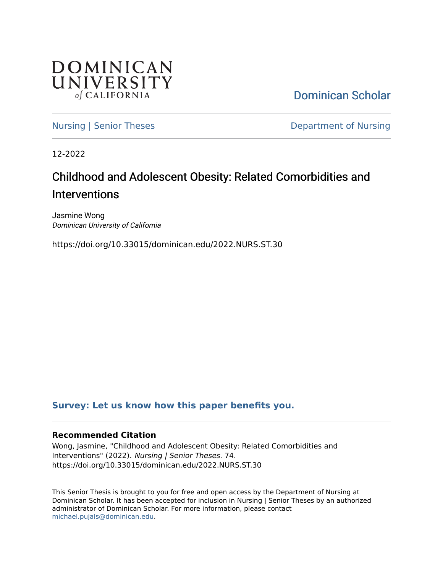

[Dominican Scholar](https://scholar.dominican.edu/) 

[Nursing | Senior Theses](https://scholar.dominican.edu/nursing-senior-theses) **Department of Nursing** 

12-2022

# Childhood and Adolescent Obesity: Related Comorbidities and **Interventions**

Jasmine Wong Dominican University of California

https://doi.org/10.33015/dominican.edu/2022.NURS.ST.30

## **[Survey: Let us know how this paper benefits you.](https://dominican.libwizard.com/dominican-scholar-feedback)**

## **Recommended Citation**

Wong, Jasmine, "Childhood and Adolescent Obesity: Related Comorbidities and Interventions" (2022). Nursing | Senior Theses. 74. https://doi.org/10.33015/dominican.edu/2022.NURS.ST.30

This Senior Thesis is brought to you for free and open access by the Department of Nursing at Dominican Scholar. It has been accepted for inclusion in Nursing | Senior Theses by an authorized administrator of Dominican Scholar. For more information, please contact [michael.pujals@dominican.edu.](mailto:michael.pujals@dominican.edu)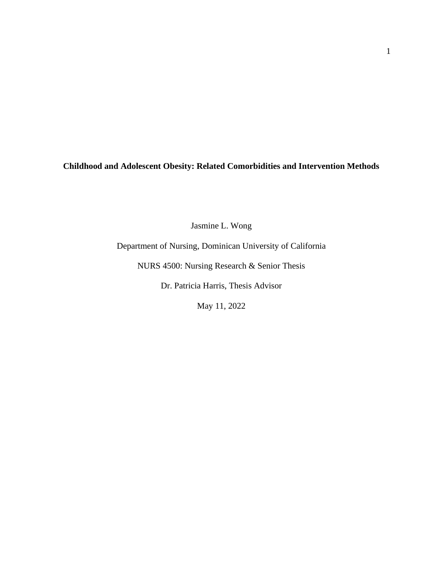**Childhood and Adolescent Obesity: Related Comorbidities and Intervention Methods**

Jasmine L. Wong

Department of Nursing, Dominican University of California

NURS 4500: Nursing Research & Senior Thesis

Dr. Patricia Harris, Thesis Advisor

May 11, 2022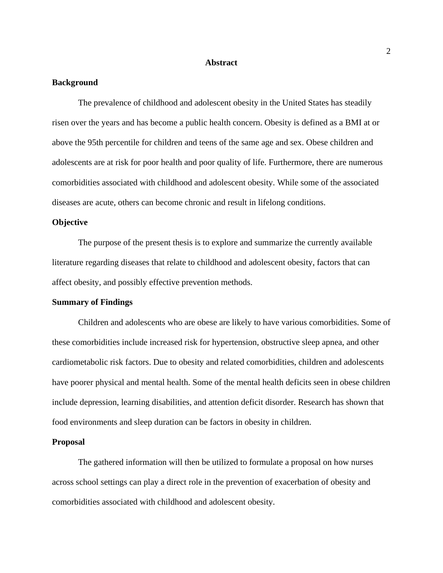#### **Abstract**

#### **Background**

The prevalence of childhood and adolescent obesity in the United States has steadily risen over the years and has become a public health concern. Obesity is defined as a BMI at or above the 95th percentile for children and teens of the same age and sex. Obese children and adolescents are at risk for poor health and poor quality of life. Furthermore, there are numerous comorbidities associated with childhood and adolescent obesity. While some of the associated diseases are acute, others can become chronic and result in lifelong conditions.

#### **Objective**

The purpose of the present thesis is to explore and summarize the currently available literature regarding diseases that relate to childhood and adolescent obesity, factors that can affect obesity, and possibly effective prevention methods.

#### **Summary of Findings**

Children and adolescents who are obese are likely to have various comorbidities. Some of these comorbidities include increased risk for hypertension, obstructive sleep apnea, and other cardiometabolic risk factors. Due to obesity and related comorbidities, children and adolescents have poorer physical and mental health. Some of the mental health deficits seen in obese children include depression, learning disabilities, and attention deficit disorder. Research has shown that food environments and sleep duration can be factors in obesity in children.

#### **Proposal**

The gathered information will then be utilized to formulate a proposal on how nurses across school settings can play a direct role in the prevention of exacerbation of obesity and comorbidities associated with childhood and adolescent obesity.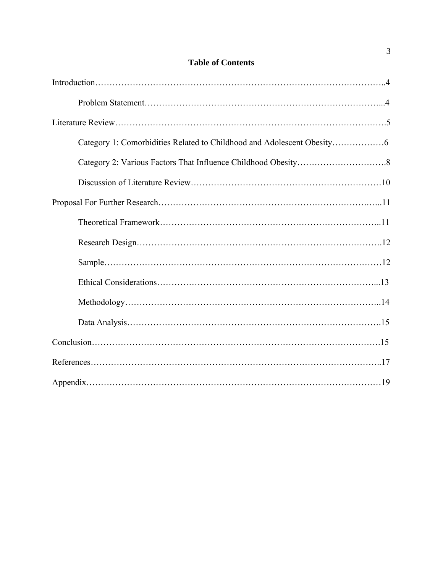## **Table of Contents**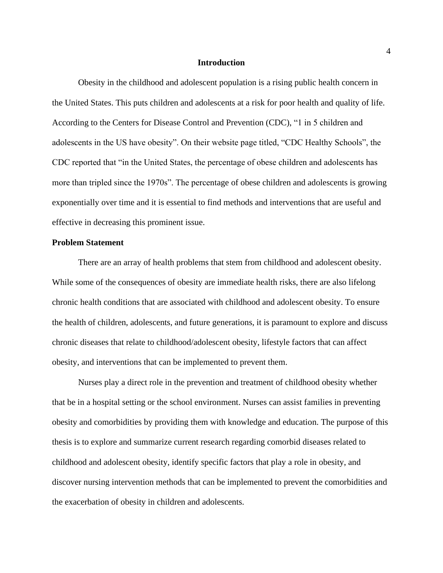#### **Introduction**

Obesity in the childhood and adolescent population is a rising public health concern in the United States. This puts children and adolescents at a risk for poor health and quality of life. According to the Centers for Disease Control and Prevention (CDC), "1 in 5 children and adolescents in the US have obesity". On their website page titled, "CDC Healthy Schools", the CDC reported that "in the United States, the percentage of obese children and adolescents has more than tripled since the 1970s". The percentage of obese children and adolescents is growing exponentially over time and it is essential to find methods and interventions that are useful and effective in decreasing this prominent issue.

#### **Problem Statement**

There are an array of health problems that stem from childhood and adolescent obesity. While some of the consequences of obesity are immediate health risks, there are also lifelong chronic health conditions that are associated with childhood and adolescent obesity. To ensure the health of children, adolescents, and future generations, it is paramount to explore and discuss chronic diseases that relate to childhood/adolescent obesity, lifestyle factors that can affect obesity, and interventions that can be implemented to prevent them.

Nurses play a direct role in the prevention and treatment of childhood obesity whether that be in a hospital setting or the school environment. Nurses can assist families in preventing obesity and comorbidities by providing them with knowledge and education. The purpose of this thesis is to explore and summarize current research regarding comorbid diseases related to childhood and adolescent obesity, identify specific factors that play a role in obesity, and discover nursing intervention methods that can be implemented to prevent the comorbidities and the exacerbation of obesity in children and adolescents.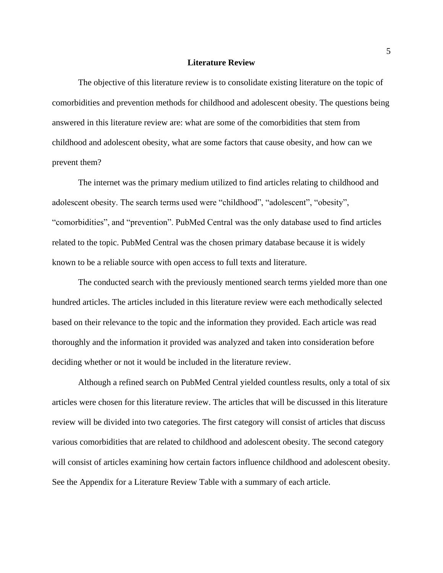#### **Literature Review**

The objective of this literature review is to consolidate existing literature on the topic of comorbidities and prevention methods for childhood and adolescent obesity. The questions being answered in this literature review are: what are some of the comorbidities that stem from childhood and adolescent obesity, what are some factors that cause obesity, and how can we prevent them?

The internet was the primary medium utilized to find articles relating to childhood and adolescent obesity. The search terms used were "childhood", "adolescent", "obesity", "comorbidities", and "prevention". PubMed Central was the only database used to find articles related to the topic. PubMed Central was the chosen primary database because it is widely known to be a reliable source with open access to full texts and literature.

The conducted search with the previously mentioned search terms yielded more than one hundred articles. The articles included in this literature review were each methodically selected based on their relevance to the topic and the information they provided. Each article was read thoroughly and the information it provided was analyzed and taken into consideration before deciding whether or not it would be included in the literature review.

Although a refined search on PubMed Central yielded countless results, only a total of six articles were chosen for this literature review. The articles that will be discussed in this literature review will be divided into two categories. The first category will consist of articles that discuss various comorbidities that are related to childhood and adolescent obesity. The second category will consist of articles examining how certain factors influence childhood and adolescent obesity. See the Appendix for a Literature Review Table with a summary of each article.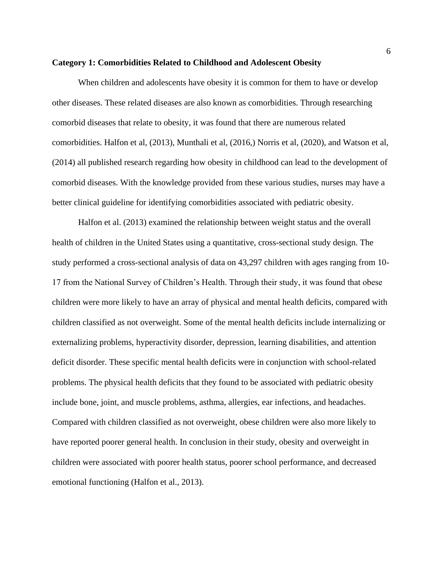#### **Category 1: Comorbidities Related to Childhood and Adolescent Obesity**

When children and adolescents have obesity it is common for them to have or develop other diseases. These related diseases are also known as comorbidities. Through researching comorbid diseases that relate to obesity, it was found that there are numerous related comorbidities. Halfon et al, (2013), Munthali et al, (2016,) Norris et al, (2020), and Watson et al, (2014) all published research regarding how obesity in childhood can lead to the development of comorbid diseases. With the knowledge provided from these various studies, nurses may have a better clinical guideline for identifying comorbidities associated with pediatric obesity.

Halfon et al. (2013) examined the relationship between weight status and the overall health of children in the United States using a quantitative, cross-sectional study design. The study performed a cross-sectional analysis of data on 43,297 children with ages ranging from 10- 17 from the National Survey of Children's Health. Through their study, it was found that obese children were more likely to have an array of physical and mental health deficits, compared with children classified as not overweight. Some of the mental health deficits include internalizing or externalizing problems, hyperactivity disorder, depression, learning disabilities, and attention deficit disorder. These specific mental health deficits were in conjunction with school-related problems. The physical health deficits that they found to be associated with pediatric obesity include bone, joint, and muscle problems, asthma, allergies, ear infections, and headaches. Compared with children classified as not overweight, obese children were also more likely to have reported poorer general health. In conclusion in their study, obesity and overweight in children were associated with poorer health status, poorer school performance, and decreased emotional functioning (Halfon et al., 2013).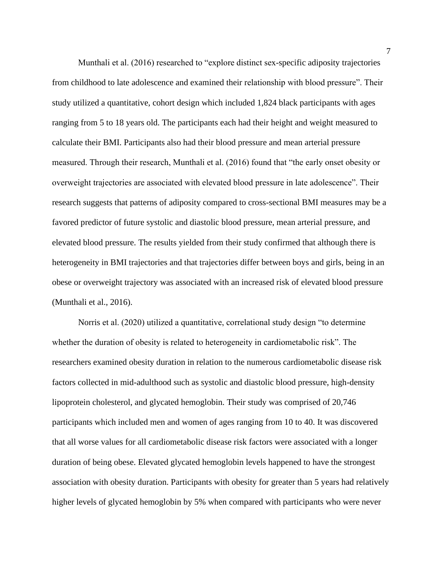Munthali et al. (2016) researched to "explore distinct sex-specific adiposity trajectories from childhood to late adolescence and examined their relationship with blood pressure". Their study utilized a quantitative, cohort design which included 1,824 black participants with ages ranging from 5 to 18 years old. The participants each had their height and weight measured to calculate their BMI. Participants also had their blood pressure and mean arterial pressure measured. Through their research, Munthali et al. (2016) found that "the early onset obesity or overweight trajectories are associated with elevated blood pressure in late adolescence". Their research suggests that patterns of adiposity compared to cross-sectional BMI measures may be a favored predictor of future systolic and diastolic blood pressure, mean arterial pressure, and elevated blood pressure. The results yielded from their study confirmed that although there is heterogeneity in BMI trajectories and that trajectories differ between boys and girls, being in an obese or overweight trajectory was associated with an increased risk of elevated blood pressure (Munthali et al., 2016).

Norris et al. (2020) utilized a quantitative, correlational study design "to determine whether the duration of obesity is related to heterogeneity in cardiometabolic risk". The researchers examined obesity duration in relation to the numerous cardiometabolic disease risk factors collected in mid-adulthood such as systolic and diastolic blood pressure, high-density lipoprotein cholesterol, and glycated hemoglobin. Their study was comprised of 20,746 participants which included men and women of ages ranging from 10 to 40. It was discovered that all worse values for all cardiometabolic disease risk factors were associated with a longer duration of being obese. Elevated glycated hemoglobin levels happened to have the strongest association with obesity duration. Participants with obesity for greater than 5 years had relatively higher levels of glycated hemoglobin by 5% when compared with participants who were never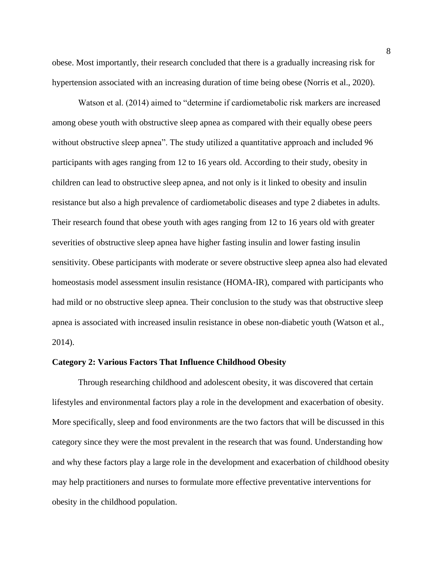obese. Most importantly, their research concluded that there is a gradually increasing risk for hypertension associated with an increasing duration of time being obese (Norris et al., 2020).

Watson et al. (2014) aimed to "determine if cardiometabolic risk markers are increased among obese youth with obstructive sleep apnea as compared with their equally obese peers without obstructive sleep apnea". The study utilized a quantitative approach and included 96 participants with ages ranging from 12 to 16 years old. According to their study, obesity in children can lead to obstructive sleep apnea, and not only is it linked to obesity and insulin resistance but also a high prevalence of cardiometabolic diseases and type 2 diabetes in adults. Their research found that obese youth with ages ranging from 12 to 16 years old with greater severities of obstructive sleep apnea have higher fasting insulin and lower fasting insulin sensitivity. Obese participants with moderate or severe obstructive sleep apnea also had elevated homeostasis model assessment insulin resistance (HOMA-IR), compared with participants who had mild or no obstructive sleep apnea. Their conclusion to the study was that obstructive sleep apnea is associated with increased insulin resistance in obese non-diabetic youth (Watson et al., 2014).

#### **Category 2: Various Factors That Influence Childhood Obesity**

Through researching childhood and adolescent obesity, it was discovered that certain lifestyles and environmental factors play a role in the development and exacerbation of obesity. More specifically, sleep and food environments are the two factors that will be discussed in this category since they were the most prevalent in the research that was found. Understanding how and why these factors play a large role in the development and exacerbation of childhood obesity may help practitioners and nurses to formulate more effective preventative interventions for obesity in the childhood population.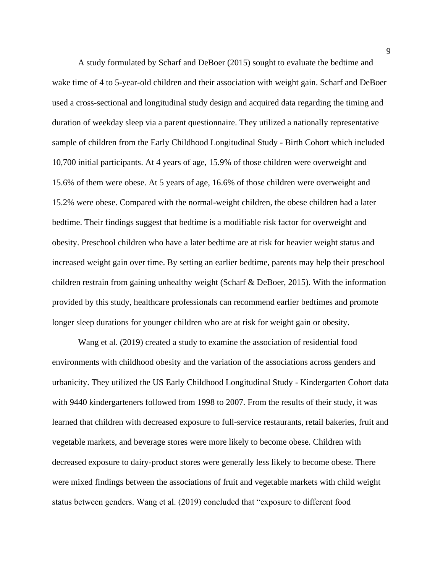A study formulated by Scharf and DeBoer (2015) sought to evaluate the bedtime and wake time of 4 to 5-year-old children and their association with weight gain. Scharf and DeBoer used a cross-sectional and longitudinal study design and acquired data regarding the timing and duration of weekday sleep via a parent questionnaire. They utilized a nationally representative sample of children from the Early Childhood Longitudinal Study - Birth Cohort which included 10,700 initial participants. At 4 years of age, 15.9% of those children were overweight and 15.6% of them were obese. At 5 years of age, 16.6% of those children were overweight and 15.2% were obese. Compared with the normal-weight children, the obese children had a later bedtime. Their findings suggest that bedtime is a modifiable risk factor for overweight and obesity. Preschool children who have a later bedtime are at risk for heavier weight status and increased weight gain over time. By setting an earlier bedtime, parents may help their preschool children restrain from gaining unhealthy weight (Scharf & DeBoer, 2015). With the information provided by this study, healthcare professionals can recommend earlier bedtimes and promote longer sleep durations for younger children who are at risk for weight gain or obesity.

Wang et al. (2019) created a study to examine the association of residential food environments with childhood obesity and the variation of the associations across genders and urbanicity. They utilized the US Early Childhood Longitudinal Study - Kindergarten Cohort data with 9440 kindergarteners followed from 1998 to 2007. From the results of their study, it was learned that children with decreased exposure to full-service restaurants, retail bakeries, fruit and vegetable markets, and beverage stores were more likely to become obese. Children with decreased exposure to dairy-product stores were generally less likely to become obese. There were mixed findings between the associations of fruit and vegetable markets with child weight status between genders. Wang et al. (2019) concluded that "exposure to different food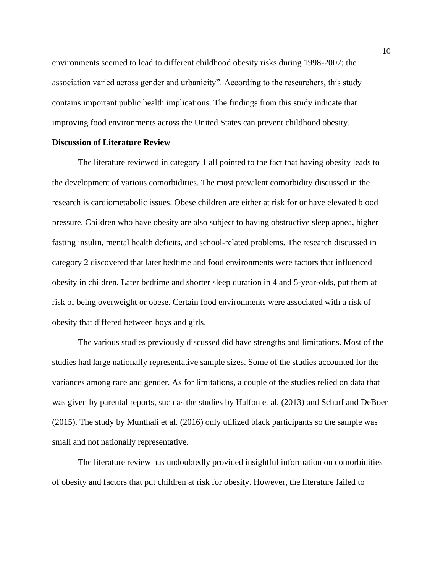environments seemed to lead to different childhood obesity risks during 1998-2007; the association varied across gender and urbanicity". According to the researchers, this study contains important public health implications. The findings from this study indicate that improving food environments across the United States can prevent childhood obesity.

#### **Discussion of Literature Review**

The literature reviewed in category 1 all pointed to the fact that having obesity leads to the development of various comorbidities. The most prevalent comorbidity discussed in the research is cardiometabolic issues. Obese children are either at risk for or have elevated blood pressure. Children who have obesity are also subject to having obstructive sleep apnea, higher fasting insulin, mental health deficits, and school-related problems. The research discussed in category 2 discovered that later bedtime and food environments were factors that influenced obesity in children. Later bedtime and shorter sleep duration in 4 and 5-year-olds, put them at risk of being overweight or obese. Certain food environments were associated with a risk of obesity that differed between boys and girls.

The various studies previously discussed did have strengths and limitations. Most of the studies had large nationally representative sample sizes. Some of the studies accounted for the variances among race and gender. As for limitations, a couple of the studies relied on data that was given by parental reports, such as the studies by Halfon et al. (2013) and Scharf and DeBoer (2015). The study by Munthali et al. (2016) only utilized black participants so the sample was small and not nationally representative.

The literature review has undoubtedly provided insightful information on comorbidities of obesity and factors that put children at risk for obesity. However, the literature failed to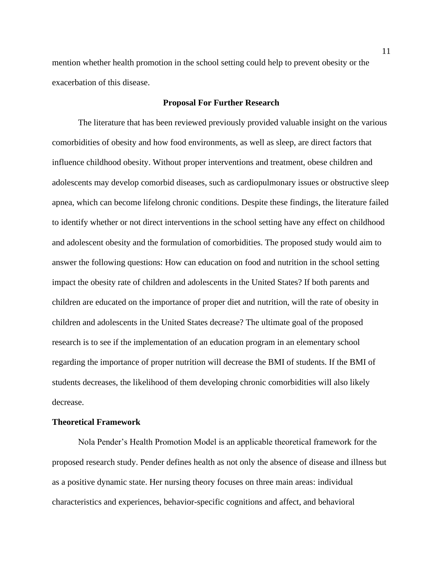mention whether health promotion in the school setting could help to prevent obesity or the exacerbation of this disease.

#### **Proposal For Further Research**

The literature that has been reviewed previously provided valuable insight on the various comorbidities of obesity and how food environments, as well as sleep, are direct factors that influence childhood obesity. Without proper interventions and treatment, obese children and adolescents may develop comorbid diseases, such as cardiopulmonary issues or obstructive sleep apnea, which can become lifelong chronic conditions. Despite these findings, the literature failed to identify whether or not direct interventions in the school setting have any effect on childhood and adolescent obesity and the formulation of comorbidities. The proposed study would aim to answer the following questions: How can education on food and nutrition in the school setting impact the obesity rate of children and adolescents in the United States? If both parents and children are educated on the importance of proper diet and nutrition, will the rate of obesity in children and adolescents in the United States decrease? The ultimate goal of the proposed research is to see if the implementation of an education program in an elementary school regarding the importance of proper nutrition will decrease the BMI of students. If the BMI of students decreases, the likelihood of them developing chronic comorbidities will also likely decrease.

#### **Theoretical Framework**

Nola Pender's Health Promotion Model is an applicable theoretical framework for the proposed research study. Pender defines health as not only the absence of disease and illness but as a positive dynamic state. Her nursing theory focuses on three main areas: individual characteristics and experiences, behavior-specific cognitions and affect, and behavioral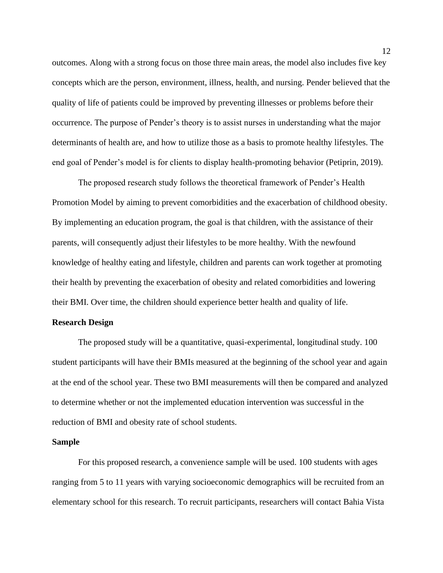outcomes. Along with a strong focus on those three main areas, the model also includes five key concepts which are the person, environment, illness, health, and nursing. Pender believed that the quality of life of patients could be improved by preventing illnesses or problems before their occurrence. The purpose of Pender's theory is to assist nurses in understanding what the major determinants of health are, and how to utilize those as a basis to promote healthy lifestyles. The end goal of Pender's model is for clients to display health-promoting behavior (Petiprin, 2019).

The proposed research study follows the theoretical framework of Pender's Health Promotion Model by aiming to prevent comorbidities and the exacerbation of childhood obesity. By implementing an education program, the goal is that children, with the assistance of their parents, will consequently adjust their lifestyles to be more healthy. With the newfound knowledge of healthy eating and lifestyle, children and parents can work together at promoting their health by preventing the exacerbation of obesity and related comorbidities and lowering their BMI. Over time, the children should experience better health and quality of life.

#### **Research Design**

The proposed study will be a quantitative, quasi-experimental, longitudinal study. 100 student participants will have their BMIs measured at the beginning of the school year and again at the end of the school year. These two BMI measurements will then be compared and analyzed to determine whether or not the implemented education intervention was successful in the reduction of BMI and obesity rate of school students.

#### **Sample**

For this proposed research, a convenience sample will be used. 100 students with ages ranging from 5 to 11 years with varying socioeconomic demographics will be recruited from an elementary school for this research. To recruit participants, researchers will contact Bahia Vista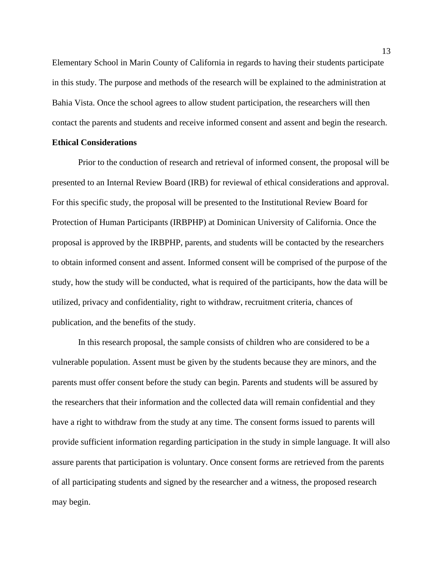Elementary School in Marin County of California in regards to having their students participate in this study. The purpose and methods of the research will be explained to the administration at Bahia Vista. Once the school agrees to allow student participation, the researchers will then contact the parents and students and receive informed consent and assent and begin the research.

#### **Ethical Considerations**

Prior to the conduction of research and retrieval of informed consent, the proposal will be presented to an Internal Review Board (IRB) for reviewal of ethical considerations and approval. For this specific study, the proposal will be presented to the Institutional Review Board for Protection of Human Participants (IRBPHP) at Dominican University of California. Once the proposal is approved by the IRBPHP, parents, and students will be contacted by the researchers to obtain informed consent and assent. Informed consent will be comprised of the purpose of the study, how the study will be conducted, what is required of the participants, how the data will be utilized, privacy and confidentiality, right to withdraw, recruitment criteria, chances of publication, and the benefits of the study.

In this research proposal, the sample consists of children who are considered to be a vulnerable population. Assent must be given by the students because they are minors, and the parents must offer consent before the study can begin. Parents and students will be assured by the researchers that their information and the collected data will remain confidential and they have a right to withdraw from the study at any time. The consent forms issued to parents will provide sufficient information regarding participation in the study in simple language. It will also assure parents that participation is voluntary. Once consent forms are retrieved from the parents of all participating students and signed by the researcher and a witness, the proposed research may begin.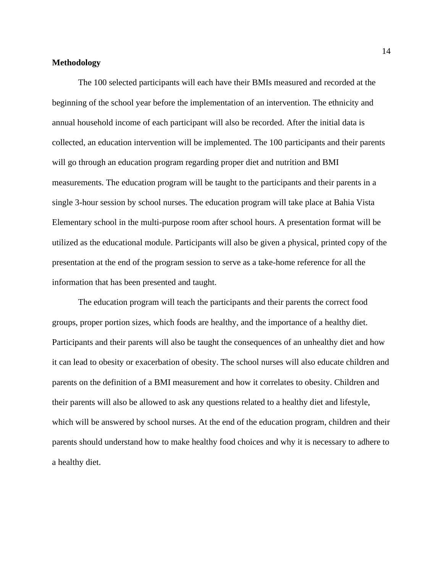## **Methodology**

The 100 selected participants will each have their BMIs measured and recorded at the beginning of the school year before the implementation of an intervention. The ethnicity and annual household income of each participant will also be recorded. After the initial data is collected, an education intervention will be implemented. The 100 participants and their parents will go through an education program regarding proper diet and nutrition and BMI measurements. The education program will be taught to the participants and their parents in a single 3-hour session by school nurses. The education program will take place at Bahia Vista Elementary school in the multi-purpose room after school hours. A presentation format will be utilized as the educational module. Participants will also be given a physical, printed copy of the presentation at the end of the program session to serve as a take-home reference for all the information that has been presented and taught.

The education program will teach the participants and their parents the correct food groups, proper portion sizes, which foods are healthy, and the importance of a healthy diet. Participants and their parents will also be taught the consequences of an unhealthy diet and how it can lead to obesity or exacerbation of obesity. The school nurses will also educate children and parents on the definition of a BMI measurement and how it correlates to obesity. Children and their parents will also be allowed to ask any questions related to a healthy diet and lifestyle, which will be answered by school nurses. At the end of the education program, children and their parents should understand how to make healthy food choices and why it is necessary to adhere to a healthy diet.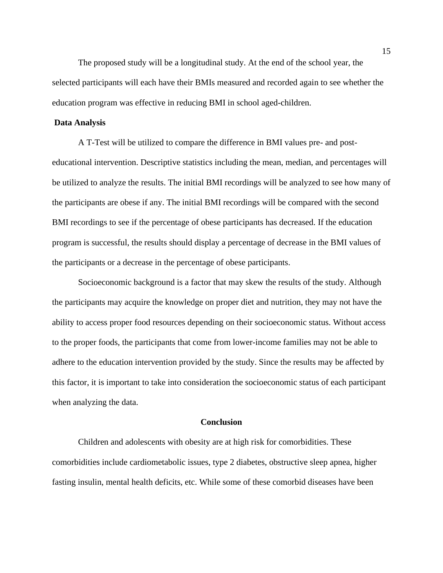The proposed study will be a longitudinal study. At the end of the school year, the selected participants will each have their BMIs measured and recorded again to see whether the education program was effective in reducing BMI in school aged-children.

#### **Data Analysis**

A T-Test will be utilized to compare the difference in BMI values pre- and posteducational intervention. Descriptive statistics including the mean, median, and percentages will be utilized to analyze the results. The initial BMI recordings will be analyzed to see how many of the participants are obese if any. The initial BMI recordings will be compared with the second BMI recordings to see if the percentage of obese participants has decreased. If the education program is successful, the results should display a percentage of decrease in the BMI values of the participants or a decrease in the percentage of obese participants.

Socioeconomic background is a factor that may skew the results of the study. Although the participants may acquire the knowledge on proper diet and nutrition, they may not have the ability to access proper food resources depending on their socioeconomic status. Without access to the proper foods, the participants that come from lower-income families may not be able to adhere to the education intervention provided by the study. Since the results may be affected by this factor, it is important to take into consideration the socioeconomic status of each participant when analyzing the data.

#### **Conclusion**

Children and adolescents with obesity are at high risk for comorbidities. These comorbidities include cardiometabolic issues, type 2 diabetes, obstructive sleep apnea, higher fasting insulin, mental health deficits, etc. While some of these comorbid diseases have been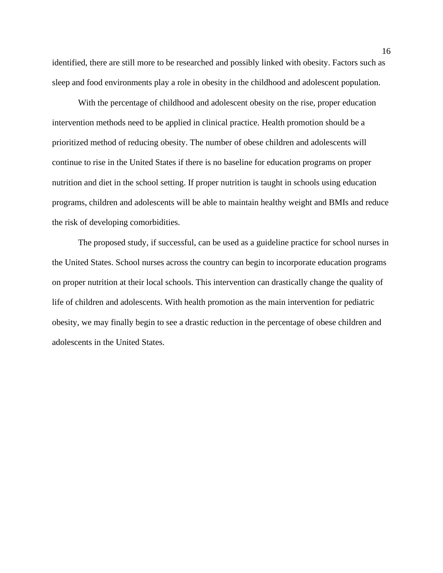identified, there are still more to be researched and possibly linked with obesity. Factors such as sleep and food environments play a role in obesity in the childhood and adolescent population.

With the percentage of childhood and adolescent obesity on the rise, proper education intervention methods need to be applied in clinical practice. Health promotion should be a prioritized method of reducing obesity. The number of obese children and adolescents will continue to rise in the United States if there is no baseline for education programs on proper nutrition and diet in the school setting. If proper nutrition is taught in schools using education programs, children and adolescents will be able to maintain healthy weight and BMIs and reduce the risk of developing comorbidities.

The proposed study, if successful, can be used as a guideline practice for school nurses in the United States. School nurses across the country can begin to incorporate education programs on proper nutrition at their local schools. This intervention can drastically change the quality of life of children and adolescents. With health promotion as the main intervention for pediatric obesity, we may finally begin to see a drastic reduction in the percentage of obese children and adolescents in the United States.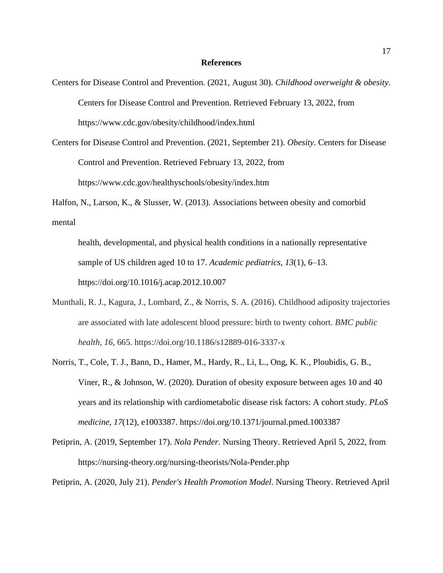#### **References**

- Centers for Disease Control and Prevention. (2021, August 30). *Childhood overweight & obesity*. Centers for Disease Control and Prevention. Retrieved February 13, 2022, from https://www.cdc.gov/obesity/childhood/index.html
- Centers for Disease Control and Prevention. (2021, September 21). *Obesity*. Centers for Disease Control and Prevention. Retrieved February 13, 2022, from https://www.cdc.gov/healthyschools/obesity/index.htm
- Halfon, N., Larson, K., & Slusser, W. (2013). Associations between obesity and comorbid mental
	- health, developmental, and physical health conditions in a nationally representative sample of US children aged 10 to 17. *Academic pediatrics*, *13*(1), 6–13. https://doi.org/10.1016/j.acap.2012.10.007
- Munthali, R. J., Kagura, J., Lombard, Z., & Norris, S. A. (2016). Childhood adiposity trajectories are associated with late adolescent blood pressure: birth to twenty cohort. *BMC public health*, *16*, 665. https://doi.org/10.1186/s12889-016-3337-x
- Norris, T., Cole, T. J., Bann, D., Hamer, M., Hardy, R., Li, L., Ong, K. K., Ploubidis, G. B., Viner, R., & Johnson, W. (2020). Duration of obesity exposure between ages 10 and 40 years and its relationship with cardiometabolic disease risk factors: A cohort study. *PLoS medicine*, *17*(12), e1003387. https://doi.org/10.1371/journal.pmed.1003387
- Petiprin, A. (2019, September 17). *Nola Pender*. Nursing Theory. Retrieved April 5, 2022, from https://nursing-theory.org/nursing-theorists/Nola-Pender.php

Petiprin, A. (2020, July 21). *Pender's Health Promotion Model*. Nursing Theory. Retrieved April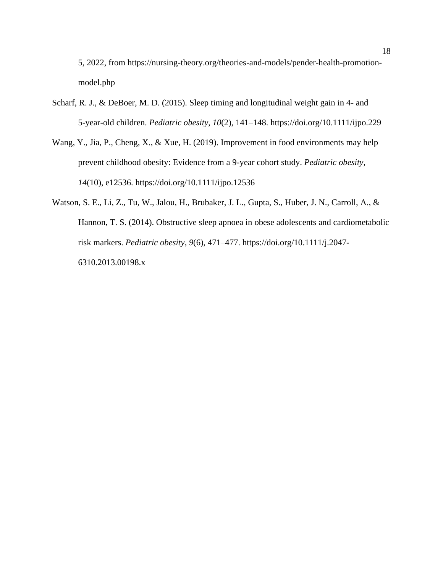5, 2022, from https://nursing-theory.org/theories-and-models/pender-health-promotionmodel.php

- Scharf, R. J., & DeBoer, M. D. (2015). Sleep timing and longitudinal weight gain in 4- and 5-year-old children. *Pediatric obesity*, *10*(2), 141–148. https://doi.org/10.1111/ijpo.229
- Wang, Y., Jia, P., Cheng, X., & Xue, H. (2019). Improvement in food environments may help prevent childhood obesity: Evidence from a 9-year cohort study. *Pediatric obesity*, *14*(10), e12536. https://doi.org/10.1111/ijpo.12536
- Watson, S. E., Li, Z., Tu, W., Jalou, H., Brubaker, J. L., Gupta, S., Huber, J. N., Carroll, A., & Hannon, T. S. (2014). Obstructive sleep apnoea in obese adolescents and cardiometabolic risk markers. *Pediatric obesity*, *9*(6), 471–477. https://doi.org/10.1111/j.2047- 6310.2013.00198.x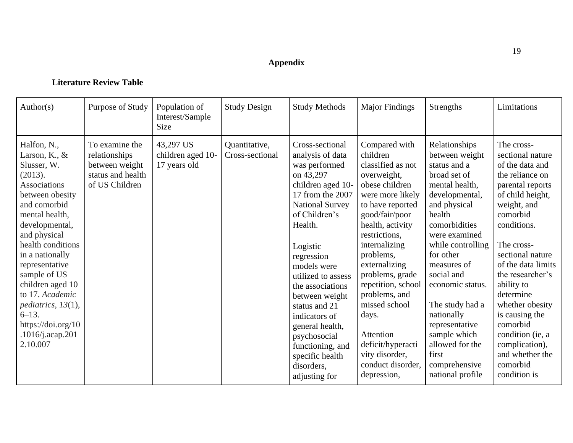## **Appendix**

## **Literature Review Table**

| Author(s)                                                                                                                                                                                                                                                                                                                                                                          | Purpose of Study                                                                         | Population of<br>Interest/Sample<br><b>Size</b> | <b>Study Design</b>              | <b>Study Methods</b>                                                                                                                                                                                                                                                                                                                                                                                             | <b>Major Findings</b>                                                                                                                                                                                                                                                                                                                                                                                     | Strengths                                                                                                                                                                                                                                                                                                                                                                              | Limitations                                                                                                                                                                                                                                                                                                                                                                                         |
|------------------------------------------------------------------------------------------------------------------------------------------------------------------------------------------------------------------------------------------------------------------------------------------------------------------------------------------------------------------------------------|------------------------------------------------------------------------------------------|-------------------------------------------------|----------------------------------|------------------------------------------------------------------------------------------------------------------------------------------------------------------------------------------------------------------------------------------------------------------------------------------------------------------------------------------------------------------------------------------------------------------|-----------------------------------------------------------------------------------------------------------------------------------------------------------------------------------------------------------------------------------------------------------------------------------------------------------------------------------------------------------------------------------------------------------|----------------------------------------------------------------------------------------------------------------------------------------------------------------------------------------------------------------------------------------------------------------------------------------------------------------------------------------------------------------------------------------|-----------------------------------------------------------------------------------------------------------------------------------------------------------------------------------------------------------------------------------------------------------------------------------------------------------------------------------------------------------------------------------------------------|
| Halfon, N.,<br>Larson, K., &<br>Slusser, W.<br>(2013).<br><b>Associations</b><br>between obesity<br>and comorbid<br>mental health,<br>developmental,<br>and physical<br>health conditions<br>in a nationally<br>representative<br>sample of US<br>children aged 10<br>to 17. Academic<br>pediatrics, $13(1)$ ,<br>$6 - 13$ .<br>https://doi.org/10<br>.1016/j.acap.201<br>2.10.007 | To examine the<br>relationships<br>between weight<br>status and health<br>of US Children | 43,297 US<br>children aged 10-<br>17 years old  | Quantitative,<br>Cross-sectional | Cross-sectional<br>analysis of data<br>was performed<br>on 43,297<br>children aged 10-<br>17 from the 2007<br><b>National Survey</b><br>of Children's<br>Health.<br>Logistic<br>regression<br>models were<br>utilized to assess<br>the associations<br>between weight<br>status and 21<br>indicators of<br>general health,<br>psychosocial<br>functioning, and<br>specific health<br>disorders,<br>adjusting for | Compared with<br>children<br>classified as not<br>overweight,<br>obese children<br>were more likely<br>to have reported<br>good/fair/poor<br>health, activity<br>restrictions,<br>internalizing<br>problems,<br>externalizing<br>problems, grade<br>repetition, school<br>problems, and<br>missed school<br>days.<br>Attention<br>deficit/hyperacti<br>vity disorder,<br>conduct disorder,<br>depression, | Relationships<br>between weight<br>status and a<br>broad set of<br>mental health,<br>developmental,<br>and physical<br>health<br>comorbidities<br>were examined<br>while controlling<br>for other<br>measures of<br>social and<br>economic status.<br>The study had a<br>nationally<br>representative<br>sample which<br>allowed for the<br>first<br>comprehensive<br>national profile | The cross-<br>sectional nature<br>of the data and<br>the reliance on<br>parental reports<br>of child height,<br>weight, and<br>comorbid<br>conditions.<br>The cross-<br>sectional nature<br>of the data limits<br>the researcher's<br>ability to<br>determine<br>whether obesity<br>is causing the<br>comorbid<br>condition (ie, a<br>complication),<br>and whether the<br>comorbid<br>condition is |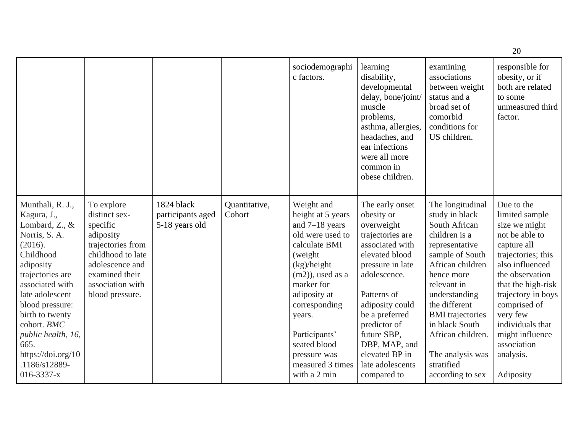|                                                                                                                                                                                                                                                                                                                 |                                                                                                                                                                            |                                                   |                         |                                                                                                                                                                                                                                                                                         |                                                                                                                                                                                                                                                                                                   |                                                                                                                                                                                                                                                                                                                      | 20                                                                                                                                                                                                                                                                                                 |
|-----------------------------------------------------------------------------------------------------------------------------------------------------------------------------------------------------------------------------------------------------------------------------------------------------------------|----------------------------------------------------------------------------------------------------------------------------------------------------------------------------|---------------------------------------------------|-------------------------|-----------------------------------------------------------------------------------------------------------------------------------------------------------------------------------------------------------------------------------------------------------------------------------------|---------------------------------------------------------------------------------------------------------------------------------------------------------------------------------------------------------------------------------------------------------------------------------------------------|----------------------------------------------------------------------------------------------------------------------------------------------------------------------------------------------------------------------------------------------------------------------------------------------------------------------|----------------------------------------------------------------------------------------------------------------------------------------------------------------------------------------------------------------------------------------------------------------------------------------------------|
|                                                                                                                                                                                                                                                                                                                 |                                                                                                                                                                            |                                                   |                         | sociodemographi<br>c factors.                                                                                                                                                                                                                                                           | learning<br>disability,<br>developmental<br>delay, bone/joint/<br>muscle<br>problems,<br>asthma, allergies,<br>headaches, and<br>ear infections<br>were all more<br>common in<br>obese children.                                                                                                  | examining<br>associations<br>between weight<br>status and a<br>broad set of<br>comorbid<br>conditions for<br>US children.                                                                                                                                                                                            | responsible for<br>obesity, or if<br>both are related<br>to some<br>unmeasured third<br>factor.                                                                                                                                                                                                    |
| Munthali, R. J.,<br>Kagura, J.,<br>Lombard, Z., &<br>Norris, S. A.<br>(2016).<br>Childhood<br>adiposity<br>trajectories are<br>associated with<br>late adolescent<br>blood pressure:<br>birth to twenty<br>cohort. BMC<br>public health, 16,<br>665.<br>https://doi.org/10<br>.1186/s12889-<br>$016 - 3337 - x$ | To explore<br>distinct sex-<br>specific<br>adiposity<br>trajectories from<br>childhood to late<br>adolescence and<br>examined their<br>association with<br>blood pressure. | 1824 black<br>participants aged<br>5-18 years old | Quantitative,<br>Cohort | Weight and<br>height at 5 years<br>and $7-18$ years<br>old were used to<br>calculate BMI<br>(weight)<br>(kg)/height<br>$(m2)$ , used as a<br>marker for<br>adiposity at<br>corresponding<br>years.<br>Participants'<br>seated blood<br>pressure was<br>measured 3 times<br>with a 2 min | The early onset<br>obesity or<br>overweight<br>trajectories are<br>associated with<br>elevated blood<br>pressure in late<br>adolescence.<br>Patterns of<br>adiposity could<br>be a preferred<br>predictor of<br>future SBP,<br>DBP, MAP, and<br>elevated BP in<br>late adolescents<br>compared to | The longitudinal<br>study in black<br>South African<br>children is a<br>representative<br>sample of South<br>African children<br>hence more<br>relevant in<br>understanding<br>the different<br><b>BMI</b> trajectories<br>in black South<br>African children.<br>The analysis was<br>stratified<br>according to sex | Due to the<br>limited sample<br>size we might<br>not be able to<br>capture all<br>trajectories; this<br>also influenced<br>the observation<br>that the high-risk<br>trajectory in boys<br>comprised of<br>very few<br>individuals that<br>might influence<br>association<br>analysis.<br>Adiposity |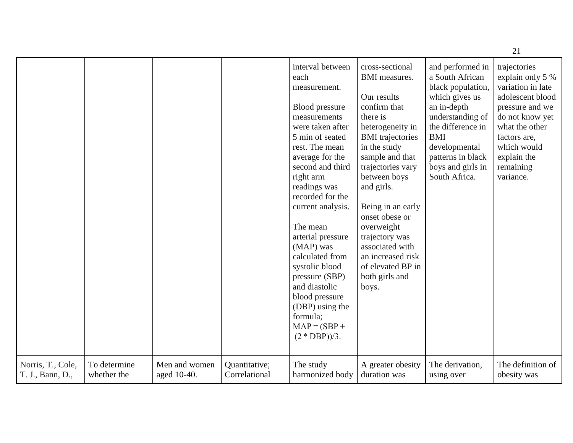|                                       |                             |                              |                                |                                                                                                                                                                                                                                                                                                                                                                                                                                                               |                                                                                                                                                                                                                                                                                                                                                                                        |                                                                                                                                                                                                                              | 21                                                                                                                                                                                                        |
|---------------------------------------|-----------------------------|------------------------------|--------------------------------|---------------------------------------------------------------------------------------------------------------------------------------------------------------------------------------------------------------------------------------------------------------------------------------------------------------------------------------------------------------------------------------------------------------------------------------------------------------|----------------------------------------------------------------------------------------------------------------------------------------------------------------------------------------------------------------------------------------------------------------------------------------------------------------------------------------------------------------------------------------|------------------------------------------------------------------------------------------------------------------------------------------------------------------------------------------------------------------------------|-----------------------------------------------------------------------------------------------------------------------------------------------------------------------------------------------------------|
|                                       |                             |                              |                                | interval between<br>each<br>measurement.<br>Blood pressure<br>measurements<br>were taken after<br>5 min of seated<br>rest. The mean<br>average for the<br>second and third<br>right arm<br>readings was<br>recorded for the<br>current analysis.<br>The mean<br>arterial pressure<br>(MAP) was<br>calculated from<br>systolic blood<br>pressure (SBP)<br>and diastolic<br>blood pressure<br>(DBP) using the<br>formula;<br>$MAP = (SBP +$<br>$(2 * DBP))/3$ . | cross-sectional<br><b>BMI</b> measures.<br>Our results<br>confirm that<br>there is<br>heterogeneity in<br><b>BMI</b> trajectories<br>in the study<br>sample and that<br>trajectories vary<br>between boys<br>and girls.<br>Being in an early<br>onset obese or<br>overweight<br>trajectory was<br>associated with<br>an increased risk<br>of elevated BP in<br>both girls and<br>boys. | and performed in<br>a South African<br>black population,<br>which gives us<br>an in-depth<br>understanding of<br>the difference in<br><b>BMI</b><br>developmental<br>patterns in black<br>boys and girls in<br>South Africa. | trajectories<br>explain only 5 %<br>variation in late<br>adolescent blood<br>pressure and we<br>do not know yet<br>what the other<br>factors are,<br>which would<br>explain the<br>remaining<br>variance. |
| Norris, T., Cole,<br>T. J., Bann, D., | To determine<br>whether the | Men and women<br>aged 10-40. | Quantitative;<br>Correlational | The study<br>harmonized body                                                                                                                                                                                                                                                                                                                                                                                                                                  | A greater obesity<br>duration was                                                                                                                                                                                                                                                                                                                                                      | The derivation,<br>using over                                                                                                                                                                                                | The definition of<br>obesity was                                                                                                                                                                          |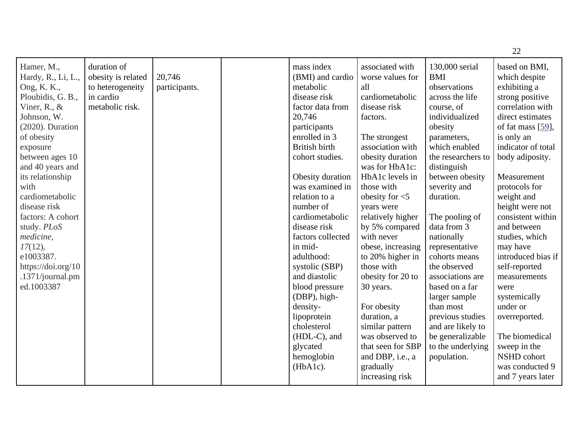|                                                                                                                                                                                                                                                                                                                                                                                                |                                                                                       |                         |                                                                                                                                                                                                                                                                                                                                                                                                                                                                                                     |                                                                                                                                                                                                                                                                                                                                                                                                                                                                                                                                     |                                                                                                                                                                                                                                                                                                                                                                                                                                                                                                        | 22                                                                                                                                                                                                                                                                                                                                                                                                                                                                                                                            |
|------------------------------------------------------------------------------------------------------------------------------------------------------------------------------------------------------------------------------------------------------------------------------------------------------------------------------------------------------------------------------------------------|---------------------------------------------------------------------------------------|-------------------------|-----------------------------------------------------------------------------------------------------------------------------------------------------------------------------------------------------------------------------------------------------------------------------------------------------------------------------------------------------------------------------------------------------------------------------------------------------------------------------------------------------|-------------------------------------------------------------------------------------------------------------------------------------------------------------------------------------------------------------------------------------------------------------------------------------------------------------------------------------------------------------------------------------------------------------------------------------------------------------------------------------------------------------------------------------|--------------------------------------------------------------------------------------------------------------------------------------------------------------------------------------------------------------------------------------------------------------------------------------------------------------------------------------------------------------------------------------------------------------------------------------------------------------------------------------------------------|-------------------------------------------------------------------------------------------------------------------------------------------------------------------------------------------------------------------------------------------------------------------------------------------------------------------------------------------------------------------------------------------------------------------------------------------------------------------------------------------------------------------------------|
| Hamer, M.,<br>Hardy, R., Li, L.,<br>Ong, K. K.,<br>Ploubidis, G. B.,<br>Viner, R., $\&$<br>Johnson, W.<br>$(2020)$ . Duration<br>of obesity<br>exposure<br>between ages 10<br>and 40 years and<br>its relationship<br>with<br>cardiometabolic<br>disease risk<br>factors: A cohort<br>study. PLoS<br>medicine,<br>17(12),<br>e1003387.<br>https://doi.org/10<br>.1371/journal.pm<br>ed.1003387 | duration of<br>obesity is related<br>to heterogeneity<br>in cardio<br>metabolic risk. | 20,746<br>participants. | mass index<br>(BMI) and cardio<br>metabolic<br>disease risk<br>factor data from<br>20,746<br>participants<br>enrolled in 3<br><b>British birth</b><br>cohort studies.<br>Obesity duration<br>was examined in<br>relation to a<br>number of<br>cardiometabolic<br>disease risk<br>factors collected<br>in mid-<br>adulthood:<br>systolic (SBP)<br>and diastolic<br>blood pressure<br>(DBP), high-<br>density-<br>lipoprotein<br>cholesterol<br>(HDL-C), and<br>glycated<br>hemoglobin<br>$(HbA1c)$ . | associated with<br>worse values for<br>all<br>cardiometabolic<br>disease risk<br>factors.<br>The strongest<br>association with<br>obesity duration<br>was for HbA1c:<br>HbA1c levels in<br>those with<br>obesity for $<$ 5<br>years were<br>relatively higher<br>by 5% compared<br>with never<br>obese, increasing<br>to 20% higher in<br>those with<br>obesity for 20 to<br>30 years.<br>For obesity<br>duration, a<br>similar pattern<br>was observed to<br>that seen for SBP<br>and DBP, i.e., a<br>gradually<br>increasing risk | 130,000 serial<br><b>BMI</b><br>observations<br>across the life<br>course, of<br>individualized<br>obesity<br>parameters,<br>which enabled<br>the researchers to<br>distinguish<br>between obesity<br>severity and<br>duration.<br>The pooling of<br>data from 3<br>nationally<br>representative<br>cohorts means<br>the observed<br>associations are<br>based on a far<br>larger sample<br>than most<br>previous studies<br>and are likely to<br>be generalizable<br>to the underlying<br>population. | based on BMI,<br>which despite<br>exhibiting a<br>strong positive<br>correlation with<br>direct estimates<br>of fat mass [59],<br>is only an<br>indicator of total<br>body adiposity.<br>Measurement<br>protocols for<br>weight and<br>height were not<br>consistent within<br>and between<br>studies, which<br>may have<br>introduced bias if<br>self-reported<br>measurements<br>were<br>systemically<br>under or<br>overreported.<br>The biomedical<br>sweep in the<br>NSHD cohort<br>was conducted 9<br>and 7 years later |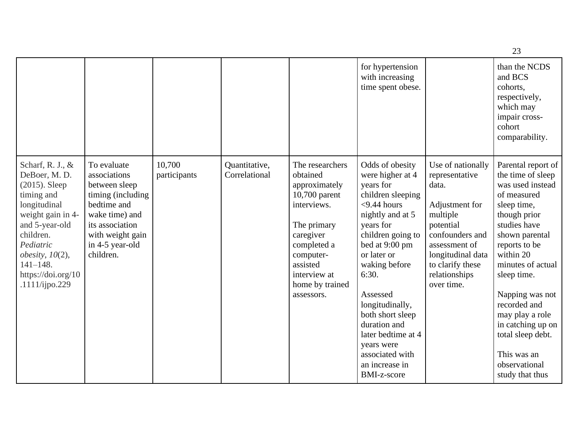|                                                                                                                                                                                                                                         |                                                                                                                                                                           |                        |                                |                                                                                                                                                                                                   |                                                                                                                                                                                                                                                                                                                                                                            |                                                                                                                                                                                                     | 23                                                                                                                                                                                                                                                                                                                                                               |
|-----------------------------------------------------------------------------------------------------------------------------------------------------------------------------------------------------------------------------------------|---------------------------------------------------------------------------------------------------------------------------------------------------------------------------|------------------------|--------------------------------|---------------------------------------------------------------------------------------------------------------------------------------------------------------------------------------------------|----------------------------------------------------------------------------------------------------------------------------------------------------------------------------------------------------------------------------------------------------------------------------------------------------------------------------------------------------------------------------|-----------------------------------------------------------------------------------------------------------------------------------------------------------------------------------------------------|------------------------------------------------------------------------------------------------------------------------------------------------------------------------------------------------------------------------------------------------------------------------------------------------------------------------------------------------------------------|
|                                                                                                                                                                                                                                         |                                                                                                                                                                           |                        |                                |                                                                                                                                                                                                   | for hypertension<br>with increasing<br>time spent obese.                                                                                                                                                                                                                                                                                                                   |                                                                                                                                                                                                     | than the NCDS<br>and BCS<br>cohorts,<br>respectively,<br>which may<br>impair cross-<br>cohort<br>comparability.                                                                                                                                                                                                                                                  |
| Scharf, R. J., &<br>DeBoer, M.D.<br>$(2015)$ . Sleep<br>timing and<br>longitudinal<br>weight gain in 4-<br>and 5-year-old<br>children.<br>Pediatric<br>$obesity$ , $10(2)$ ,<br>$141 - 148.$<br>https://doi.org/10<br>$.1111$ /ijpo.229 | To evaluate<br>associations<br>between sleep<br>timing (including<br>bedtime and<br>wake time) and<br>its association<br>with weight gain<br>in 4-5 year-old<br>children. | 10,700<br>participants | Quantitative,<br>Correlational | The researchers<br>obtained<br>approximately<br>10,700 parent<br>interviews.<br>The primary<br>caregiver<br>completed a<br>computer-<br>assisted<br>interview at<br>home by trained<br>assessors. | Odds of obesity<br>were higher at 4<br>years for<br>children sleeping<br>$<$ 9.44 hours<br>nightly and at 5<br>years for<br>children going to<br>bed at 9:00 pm<br>or later or<br>waking before<br>6:30.<br>Assessed<br>longitudinally,<br>both short sleep<br>duration and<br>later bedtime at 4<br>years were<br>associated with<br>an increase in<br><b>BMI-z-score</b> | Use of nationally<br>representative<br>data.<br>Adjustment for<br>multiple<br>potential<br>confounders and<br>assessment of<br>longitudinal data<br>to clarify these<br>relationships<br>over time. | Parental report of<br>the time of sleep<br>was used instead<br>of measured<br>sleep time,<br>though prior<br>studies have<br>shown parental<br>reports to be<br>within 20<br>minutes of actual<br>sleep time.<br>Napping was not<br>recorded and<br>may play a role<br>in catching up on<br>total sleep debt.<br>This was an<br>observational<br>study that thus |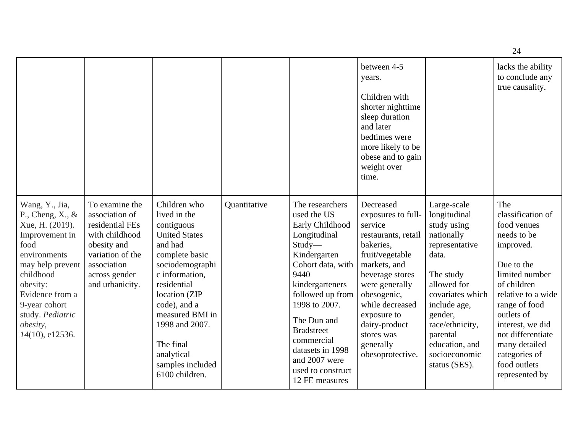|                                                                                                                                                                                                                                               |                                                                                                                                                             |                                                                                                                                                                                                                                                                                            |              |                                                                                                                                                                                                                                                                                                                | between 4-5<br>years.<br>Children with<br>shorter nighttime<br>sleep duration<br>and later<br>bedtimes were<br>more likely to be<br>obese and to gain<br>weight over<br>time.                                                                                           |                                                                                                                                                                                                                                                   | lacks the ability<br>to conclude any<br>true causality.                                                                                                                                                                                                                              |
|-----------------------------------------------------------------------------------------------------------------------------------------------------------------------------------------------------------------------------------------------|-------------------------------------------------------------------------------------------------------------------------------------------------------------|--------------------------------------------------------------------------------------------------------------------------------------------------------------------------------------------------------------------------------------------------------------------------------------------|--------------|----------------------------------------------------------------------------------------------------------------------------------------------------------------------------------------------------------------------------------------------------------------------------------------------------------------|-------------------------------------------------------------------------------------------------------------------------------------------------------------------------------------------------------------------------------------------------------------------------|---------------------------------------------------------------------------------------------------------------------------------------------------------------------------------------------------------------------------------------------------|--------------------------------------------------------------------------------------------------------------------------------------------------------------------------------------------------------------------------------------------------------------------------------------|
| Wang, Y., Jia,<br>P., Cheng, $X_{\cdot}$ , &<br>Xue, H. (2019).<br>Improvement in<br>food<br>environments<br>may help prevent<br>childhood<br>obesity:<br>Evidence from a<br>9-year cohort<br>study. Pediatric<br>obesity,<br>14(10), e12536. | To examine the<br>association of<br>residential FEs<br>with childhood<br>obesity and<br>variation of the<br>association<br>across gender<br>and urbanicity. | Children who<br>lived in the<br>contiguous<br><b>United States</b><br>and had<br>complete basic<br>sociodemographi<br>c information,<br>residential<br>location (ZIP<br>code), and a<br>measured BMI in<br>1998 and 2007.<br>The final<br>analytical<br>samples included<br>6100 children. | Quantitative | The researchers<br>used the US<br>Early Childhood<br>Longitudinal<br>Study-<br>Kindergarten<br>Cohort data, with<br>9440<br>kindergarteners<br>followed up from<br>1998 to 2007.<br>The Dun and<br><b>Bradstreet</b><br>commercial<br>datasets in 1998<br>and 2007 were<br>used to construct<br>12 FE measures | Decreased<br>exposures to full-<br>service<br>restaurants, retail<br>bakeries,<br>fruit/vegetable<br>markets, and<br>beverage stores<br>were generally<br>obesogenic,<br>while decreased<br>exposure to<br>dairy-product<br>stores was<br>generally<br>obesoprotective. | Large-scale<br>longitudinal<br>study using<br>nationally<br>representative<br>data.<br>The study<br>allowed for<br>covariates which<br>include age,<br>gender,<br>race/ethnicity,<br>parental<br>education, and<br>socioeconomic<br>status (SES). | The<br>classification of<br>food venues<br>needs to be<br>improved.<br>Due to the<br>limited number<br>of children<br>relative to a wide<br>range of food<br>outlets of<br>interest, we did<br>not differentiate<br>many detailed<br>categories of<br>food outlets<br>represented by |

24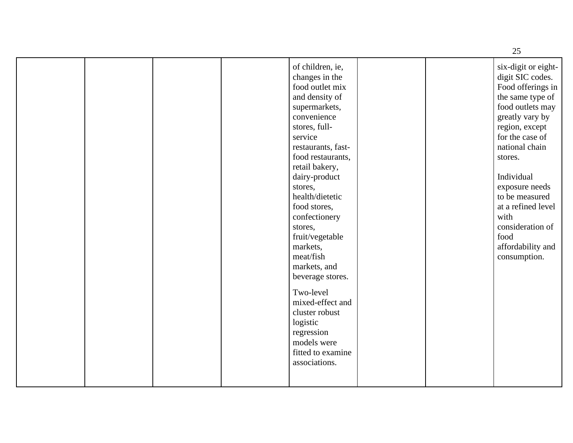|  |                                                                                                                                                                                                                                                                                                                                                                                                                                                                                                               | 25                                                                                                                                                                                                                                                                                                                                         |
|--|---------------------------------------------------------------------------------------------------------------------------------------------------------------------------------------------------------------------------------------------------------------------------------------------------------------------------------------------------------------------------------------------------------------------------------------------------------------------------------------------------------------|--------------------------------------------------------------------------------------------------------------------------------------------------------------------------------------------------------------------------------------------------------------------------------------------------------------------------------------------|
|  | of children, ie,<br>changes in the<br>food outlet mix<br>and density of<br>supermarkets,<br>convenience<br>stores, full-<br>service<br>restaurants, fast-<br>food restaurants,<br>retail bakery,<br>dairy-product<br>stores,<br>health/dietetic<br>food stores,<br>confectionery<br>stores,<br>fruit/vegetable<br>markets,<br>meat/fish<br>markets, and<br>beverage stores.<br>Two-level<br>mixed-effect and<br>cluster robust<br>logistic<br>regression<br>models were<br>fitted to examine<br>associations. | six-digit or eight-<br>digit SIC codes.<br>Food offerings in<br>the same type of<br>food outlets may<br>greatly vary by<br>region, except<br>for the case of<br>national chain<br>stores.<br>Individual<br>exposure needs<br>to be measured<br>at a refined level<br>with<br>consideration of<br>food<br>affordability and<br>consumption. |
|  |                                                                                                                                                                                                                                                                                                                                                                                                                                                                                                               |                                                                                                                                                                                                                                                                                                                                            |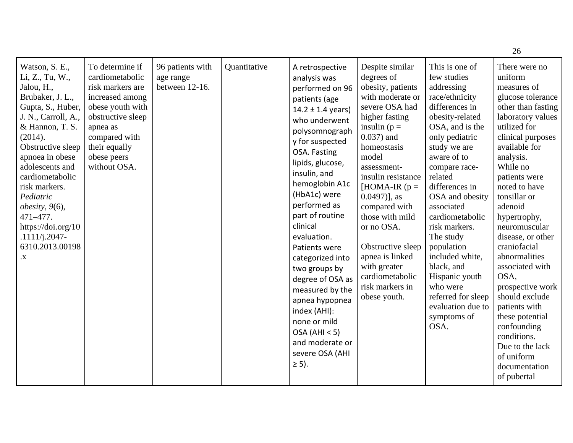|                                                                                                                                                                                                                                                                                                                                                                     |                                                                                                                                                                                                 |                                                 |              |                                                                                                                                                                                                                                                                                                                                                                                                                                                                                                                            |                                                                                                                                                                                                                                                                                                                                                                                                                    |                                                                                                                                                                                                                                                                                                                                                                                                                                                       | 26                                                                                                                                                                                                                                                                                                                                                                                                                                                                                                                                             |
|---------------------------------------------------------------------------------------------------------------------------------------------------------------------------------------------------------------------------------------------------------------------------------------------------------------------------------------------------------------------|-------------------------------------------------------------------------------------------------------------------------------------------------------------------------------------------------|-------------------------------------------------|--------------|----------------------------------------------------------------------------------------------------------------------------------------------------------------------------------------------------------------------------------------------------------------------------------------------------------------------------------------------------------------------------------------------------------------------------------------------------------------------------------------------------------------------------|--------------------------------------------------------------------------------------------------------------------------------------------------------------------------------------------------------------------------------------------------------------------------------------------------------------------------------------------------------------------------------------------------------------------|-------------------------------------------------------------------------------------------------------------------------------------------------------------------------------------------------------------------------------------------------------------------------------------------------------------------------------------------------------------------------------------------------------------------------------------------------------|------------------------------------------------------------------------------------------------------------------------------------------------------------------------------------------------------------------------------------------------------------------------------------------------------------------------------------------------------------------------------------------------------------------------------------------------------------------------------------------------------------------------------------------------|
| Watson, S. E.,<br>Li, Z., Tu, W.,<br>Jalou, H.,<br>Brubaker, J. L.,<br>Gupta, S., Huber,<br>J. N., Carroll, A.,<br>& Hannon, T. S.<br>(2014).<br>Obstructive sleep<br>apnoea in obese<br>adolescents and<br>cardiometabolic<br>risk markers.<br>Pediatric<br>obesity, $9(6)$ ,<br>471-477.<br>https://doi.org/10<br>$.1111/j.2047-$<br>6310.2013.00198<br>$\cdot X$ | To determine if<br>cardiometabolic<br>risk markers are<br>increased among<br>obese youth with<br>obstructive sleep<br>apnea as<br>compared with<br>their equally<br>obese peers<br>without OSA. | 96 patients with<br>age range<br>between 12-16. | Quantitative | A retrospective<br>analysis was<br>performed on 96<br>patients (age<br>$14.2 \pm 1.4$ years)<br>who underwent<br>polysomnograph<br>y for suspected<br>OSA. Fasting<br>lipids, glucose,<br>insulin, and<br>hemoglobin A1c<br>(HbA1c) were<br>performed as<br>part of routine<br>clinical<br>evaluation.<br>Patients were<br>categorized into<br>two groups by<br>degree of OSA as<br>measured by the<br>apnea hypopnea<br>index (AHI):<br>none or mild<br>OSA (AHI < 5)<br>and moderate or<br>severe OSA (AHI<br>$\geq$ 5). | Despite similar<br>degrees of<br>obesity, patients<br>with moderate or<br>severe OSA had<br>higher fasting<br>insulin ( $p =$<br>$0.037$ ) and<br>homeostasis<br>model<br>assessment-<br>insulin resistance<br>[HOMA-IR $(p =$<br>$(0.0497)$ ], as<br>compared with<br>those with mild<br>or no OSA.<br>Obstructive sleep<br>apnea is linked<br>with greater<br>cardiometabolic<br>risk markers in<br>obese youth. | This is one of<br>few studies<br>addressing<br>race/ethnicity<br>differences in<br>obesity-related<br>OSA, and is the<br>only pediatric<br>study we are<br>aware of to<br>compare race-<br>related<br>differences in<br>OSA and obesity<br>associated<br>cardiometabolic<br>risk markers.<br>The study<br>population<br>included white,<br>black, and<br>Hispanic youth<br>who were<br>referred for sleep<br>evaluation due to<br>symptoms of<br>OSA. | There were no<br>uniform<br>measures of<br>glucose tolerance<br>other than fasting<br>laboratory values<br>utilized for<br>clinical purposes<br>available for<br>analysis.<br>While no<br>patients were<br>noted to have<br>tonsillar or<br>adenoid<br>hypertrophy,<br>neuromuscular<br>disease, or other<br>craniofacial<br>abnormalities<br>associated with<br>OSA,<br>prospective work<br>should exclude<br>patients with<br>these potential<br>confounding<br>conditions.<br>Due to the lack<br>of uniform<br>documentation<br>of pubertal |